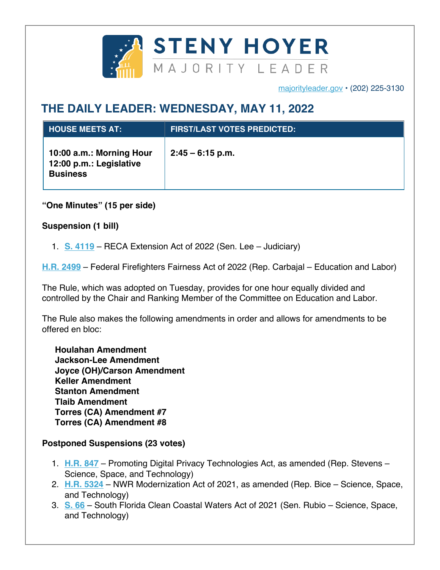

majorityleader.gov • (202) 225-3130

## **THE DAILY LEADER: WEDNESDAY, MAY 11, 2022**

| <b>HOUSE MEETS AT:</b>                                                 | <b>FIRST/LAST VOTES PREDICTED:</b> |
|------------------------------------------------------------------------|------------------------------------|
| 10:00 a.m.: Morning Hour<br>12:00 p.m.: Legislative<br><b>Business</b> | $2:45 - 6:15$ p.m.                 |

**"One Minutes" (15 per side)**

**Suspension (1 bill)**

1. **S. 4119** – RECA Extension Act of 2022 (Sen. Lee – Judiciary)

**H.R. 2499** – Federal Firefighters Fairness Act of 2022 (Rep. Carbajal – Education and Labor)

The Rule, which was adopted on Tuesday, provides for one hour equally divided and controlled by the Chair and Ranking Member of the Committee on Education and Labor.

The Rule also makes the following amendments in order and allows for amendments to be offered en bloc:

**Houlahan Amendment Jackson-Lee Amendment Joyce (OH)/Carson Amendment Keller Amendment Stanton Amendment Tlaib Amendment Torres (CA) Amendment #7 Torres (CA) Amendment #8**

## **Postponed Suspensions (23 votes)**

- 1. **H.R. 847** Promoting Digital Privacy Technologies Act, as amended (Rep. Stevens Science, Space, and Technology)
- 2. **H.R. 5324** NWR Modernization Act of 2021, as amended (Rep. Bice Science, Space, and Technology)
- 3. **S. 66** South Florida Clean Coastal Waters Act of 2021 (Sen. Rubio Science, Space, and Technology)